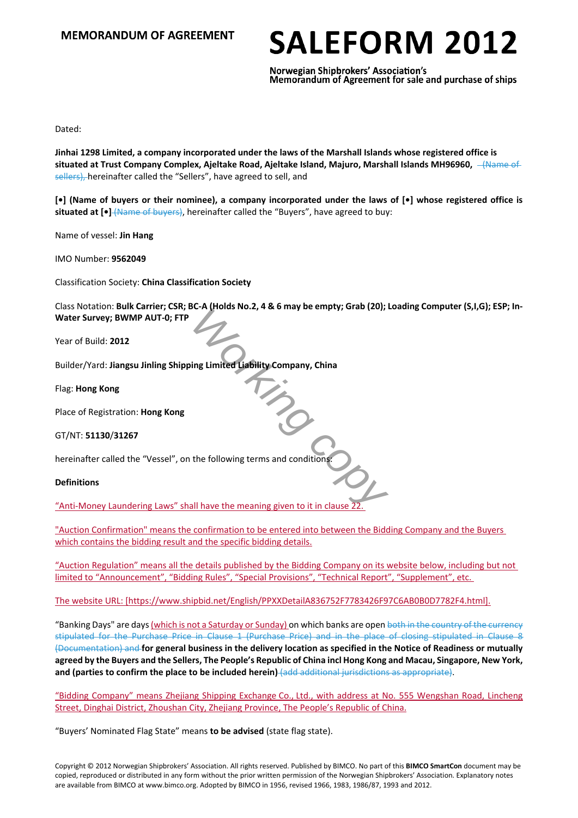# **SALEFORM 2012**

Norwegian Shipbrokers' Association's Memorandum of Agreement for sale and purchase of ships

Dated:

**Jinhai 1298 Limited, a company incorporated under the laws of the Marshall Islands whose registered office is situated at Trust Company Complex, Ajeltake Road, Ajeltake Island, Majuro, Marshall Islands MH96960,** (Name of sellers), hereinafter called the "Sellers", have agreed to sell, and

**[•] (Name of buyers or their nominee), a company incorporated under the laws of [•] whose registered office is situated at [•]** (Name of buyers), hereinafter called the "Buyers", have agreed to buy:

Name of vessel: **Jin Hang**

IMO Number: **9562049**

Classification Society: **China Classification Society**

**Page Limited Liability Company, China**<br>
The following terms and conditions<br>
In the following terms and conditions<br>
In the the meaning given to it in clause 22. Class Notation: **Bulk Carrier; CSR; BC-A (Holds No.2, 4 & 6 may be empty; Grab (20); Loading Computer (S,I,G); ESP; In-Water Survey; BWMP AUT-0; FTP**

Year of Build: **2012**

Builder/Yard: **Jiangsu Jinling Shipping Limited Liability Company, China**

Flag: **Hong Kong**

Place of Registration: **Hong Kong**

GT/NT: **51130**/**31267**

hereinafter called the "Vessel", on the following terms and conditions:

### **Definitions**

"Anti-Money Laundering Laws" shall have the meaning given to it in clause

"Auction Confirmation" means the confirmation to be entered into between the Bidding Company and the Buyers which contains the bidding result and the specific bidding details.

"Auction Regulation" means all the details published by the Bidding Company on its website below, including but not limited to "Announcement", "Bidding Rules", "Special Provisions", "Technical Report", "Supplement", etc.

The website URL: [https://www.shipbid.net/English/PPXXDetailA836752F7783426F97C6AB0B0D7782F4.html].

"Banking Days" are days (which is not a Saturday or Sunday) on which banks are open both in the country of the currency stipulated for the Purchase Price in Clause 1 (Purchase Price) and in the place of closing stipulated in Clause 8 (Documentation) and **for general business in the delivery location as specified in the Notice of Readiness or mutually agreed by the Buyers and the Sellers, The People's Republic of China incl Hong Kong and Macau, Singapore, New York, and (parties to confirm the place to be included herein)** (add additional jurisdictions as appropriate).

"Bidding Company" means Zhejiang Shipping Exchange Co., Ltd., with address at No. 555 Wengshan Road, Lincheng Street, Dinghai District, Zhoushan City, Zhejiang Province, The People's Republic of China.

"Buyers' Nominated Flag State" means **to be advised** (state flag state).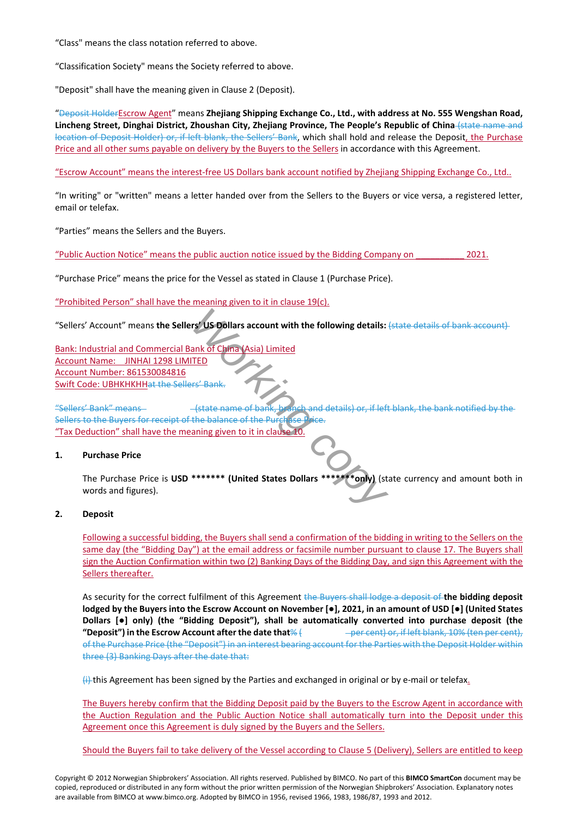"Class" means the class notation referred to above.

"Classification Society" means the Society referred to above.

"Deposit" shall have the meaning given in Clause 2 (Deposit).

"Deposit HolderEscrow Agent" means **Zhejiang Shipping Exchange Co., Ltd., with address at No. 555 Wengshan Road, Lincheng Street, Dinghai District, Zhoushan City, Zhejiang Province, The People's Republic of China** (state name and location of Deposit Holder) or, if left blank, the Sellers' Bank, which shall hold and release the Deposit, the Purchase Price and all other sums payable on delivery by the Buyers to the Sellers in accordance with this Agreement.

"Escrow Account" means the interest-free US Dollars bank account notified by Zhejiang Shipping Exchange Co., Ltd..

"In writing" or "written" means a letter handed over from the Sellers to the Buyers or vice versa, a registered letter, email or telefax.

"Parties" means the Sellers and the Buyers.

"Public Auction Notice" means the public auction notice issued by the Bidding Company on \_\_\_\_\_\_\_\_\_\_ 2021.

"Purchase Price" means the price for the Vessel as stated in Clause 1 (Purchase Price).

"Prohibited Person" shall have the meaning given to it in clause 19(c).

"Sellers' Account" means **the Sellers' US Dollars account with the following details:** (state details of bank account)

Bank: Industrial and Commercial Bank of China (Asia) Limited Account Name: JINHAI 1298 LIMITED Account Number: 861530084816 Swift Code: UBHKHKHHat the Sellers' Bank.

**ED**<br> **ED**<br> **ED**<br> **ED**<br> **ED**<br> **ED**<br> **ED**<br> **ED**<br> **ED**<br> **ED**<br> **ED**<br> **ED**<br> **ED**<br> **ED**<br> **ED**<br> **ED**<br> **ED**<br> **ED**<br> **ED**<br> **ED**<br> **ED**<br> **ED**<br> **ED**<br> **ED**<br> **ED**<br> **ED**<br> **ED**<br> **ED**<br> **ED**<br> **ED**<br> **ED**<br> **ED**<br> **ED**<br> **ED**<br> **ED**<br> **ED**<br> **ED**<br> "Sellers' Bank" means - The State name of bank, branch and details) or, if left blank, the bank notified by the Sellers to the Buyers for receipt of the balance of the Purchase Price. "Tax Deduction" shall have the meaning given to it in clause 10.

## **1. Purchase Price**

The Purchase Price is **USD \*\*\*\*\*\*\* (United States Dollars \*\*\*\*\*\*\*only)** (state currency and amount both in words and figures).

## **2. Deposit**

Following a successful bidding, the Buyers shall send a confirmation of the bidding in writing to the Sellers on the same day (the "Bidding Day") at the email address or facsimile number pursuant to clause 17. The Buyers shall sign the Auction Confirmation within two (2) Banking Days of the Bidding Day, and sign this Agreement with the Sellers thereafter.

As security for the correct fulfilment of this Agreement the Buyers shall lodge a deposit of **the bidding deposit lodged by the Buyers into the Escrow Account on November [●], 2021, in an amount of USD [●] (United States Dollars [●] only) (the "Bidding Deposit"), shall be automatically converted into purchase deposit (the "Deposit") in the Escrow Account after the date that% (in the set cent) or, if left blank, 10% (ten per cent),** of the Purchase Price (the "Deposit") in an interest bearing account for the Parties with the Deposit Holder within three (3) Banking Days after the date that:

 $(H)$  this Agreement has been signed by the Parties and exchanged in original or by e-mail or telefax.

The Buyers hereby confirm that the Bidding Deposit paid by the Buyers to the Escrow Agent in accordance with the Auction Regulation and the Public Auction Notice shall automatically turn into the Deposit under this Agreement once this Agreement is duly signed by the Buyers and the Sellers.

Should the Buyers fail to take delivery of the Vessel according to Clause 5 (Delivery), Sellers are entitled to keep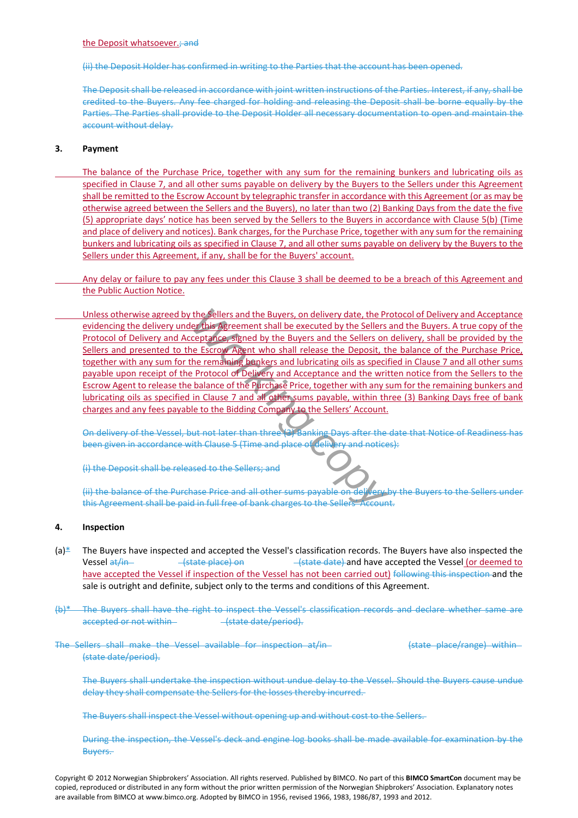#### the Deposit whatsoever.; and

(ii) the Deposit Holder has confirmed in writing to the Parties that the account has been opened.

The Deposit shall be released in accordance with joint written instructions of the Parties. Interest, if any, shall be credited to the Buyers. Any fee charged for holding and releasing the Deposit shall be borne equally by the Parties. The Parties shall provide to the Deposit Holder all necessary documentation to open and maintain the account without delay.

### **3. Payment**

The balance of the Purchase Price, together with any sum for the remaining bunkers and lubricating oils as specified in Clause 7, and all other sums payable on delivery by the Buyers to the Sellers under this Agreement shall be remitted to the Escrow Account by telegraphic transfer in accordance with this Agreement (or as may be otherwise agreed between the Sellers and the Buyers), no later than two (2) Banking Days from the date the five (5) appropriate days' notice has been served by the Sellers to the Buyers in accordance with Clause 5(b) (Time and place of delivery and notices). Bank charges, for the Purchase Price, together with any sum for the remaining bunkers and lubricating oils as specified in Clause 7, and all other sums payable on delivery by the Buyers to the Sellers under this Agreement, if any, shall be for the Buyers' account.

Any delay or failure to pay any fees under this Clause 3 shall be deemed to be a breach of this Agreement and the Public Auction Notice.

**Example 12 Follows and the Buyers, on delivery date, the Prefilion Exercise Profilion Exercise Proposition**<br> **Example 12 Follows and the Sellers on**<br> **Example 12 Follows and the Sellers on**<br> **Example 12 Follows and lubric** Unless otherwise agreed by the Sellers and the Buyers, on delivery date, the Protocol of Delivery and Acceptance evidencing the delivery under this Agreement shall be executed by the Sellers and the Buyers. A true copy of the Protocol of Delivery and Acceptance, signed by the Buyers and the Sellers on delivery, shall be provided by the Sellers and presented to the Escrow Agent who shall release the Deposit, the balance of the Purchase Price, together with any sum for the remaining bunkers and lubricating oils as specified in Clause 7 and all other sums payable upon receipt of the Protocol of Delivery and Acceptance and the written notice from the Sellers to the Escrow Agent to release the balance of the Purchase Price, together with any sum for the remaining bunkers and lubricating oils as specified in Clause 7 and all other sums payable, within three (3) Banking Days free of bank charges and any fees payable to the Bidding Company to the Sellers' Account.

On delivery of the Vessel, but not later than three (3) Banking Days after the date that Notice of Readiness has been given in accordance with Clause 5 (Time and place of delivery and notices):

(i) the Deposit shall be released to the Sellers; and

(ii) the balance of the Purchase Price and all other sums payable on delivery by the Buyers to the Sellers under this Agreement shall be paid in full free of bank charges to the Sellers' Account.

## **4. Inspection**

- (a) $*$  The Buyers have inspected and accepted the Vessel's classification records. The Buyers have also inspected the Vessel at/in (state place) on(state date) and have accepted the Vessel (or deemed to have accepted the Vessel if inspection of the Vessel has not been carried out) following this inspection and the sale is outright and definite, subject only to the terms and conditions of this Agreement.
- $(b)*$  The Buyers shall have the right to inspect the Vessel's classification records and declare whether same are accepted or not within and solution of state date/period).
- The Sellers shall make the Vessel available for inspection at/in and the sellers (state place/range) within (state date/period).

The Buyers shall undertake the inspection without undue delay to the Vessel. Should the Buyers cause undue delay they shall compensate the Sellers for the losses thereby incurred.

The Buyers shall inspect the Vessel without opening up and without cost to the Sellers.

During the inspection, the Vessel's deck and engine log books shall be made available for examination by the Buyers.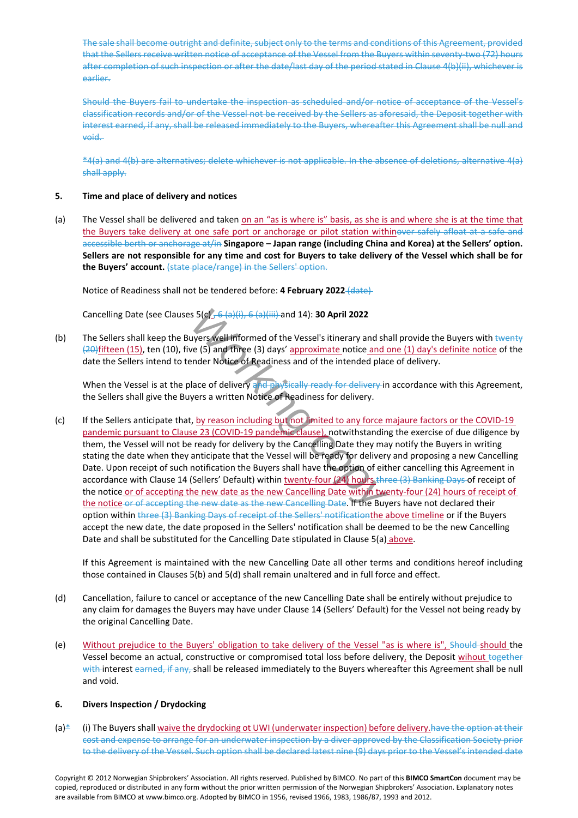The sale shall become outright and definite, subject only to the terms and conditions of this Agreement, provided that the Sellers receive written notice of acceptance of the Vessel from the Buyers within seventy-two (72) hours after completion of such inspection or after the date/last day of the period stated in Clause 4(b)(ii), whichever is earlier.

Should the Buyers fail to undertake the inspection as scheduled and/or notice of acceptance of the Vessel's classification records and/or of the Vessel not be received by the Sellers as aforesaid, the Deposit together with interest earned, if any, shall be released immediately to the Buyers, whereafter this Agreement shall be null and void.

\*4(a) and 4(b) are alternatives; delete whichever is not applicable. In the absence of deletions, alternative 4(a) shall apply.

## **5. Time and place of delivery and notices**

(a) The Vessel shall be delivered and taken on an "as is where is" basis, as she is and where she is at the time that the Buyers take delivery at one safe port or anchorage or pilot station withinover safely afloat at a safe and accessible berth or anchorage at/in **Singapore – Japan range (including China and Korea) at the Sellers' option. Sellers are not responsible for any time and cost for Buyers to take delivery of the Vessel which shall be for the Buyers' account.** (state place/range) in the Sellers' option.

Notice of Readiness shall not be tendered before: 4 February 2022 (date)

Cancelling Date (see Clauses  $5(c)$ ,  $6 \frac{a}{i}$ ,  $6 \frac{a}{ii}$ ,  $6 \frac{a}{iii}$  and 14): **30 April 2022** 

(b) The Sellers shall keep the Buyers well informed of the Vessel's itinerary and shall provide the Buyers with twenty (20)fifteen (15), ten (10), five (5) and three (3) days' approximate notice and one (1) day's definite notice of the date the Sellers intend to tender Notice of Readiness and of the intended place of delivery.

When the Vessel is at the place of delivery and physically ready for delivery in accordance with this Agreement, the Sellers shall give the Buyers a written Notice of Readiness for delivery.

*S*(c) <sup>26</sup> (a)(ii), 6 (a)(iii) and 14): **30 April 2022**<br>
yers well informed of the Vessel's itinerary and shape (5) and three (3) days' <u>approximate</u> notice and conder Notice of Readiness and of the intended place are of (c) If the Sellers anticipate that, by reason including but not limited to any force majaure factors or the COVID-19 pandemic pursuant to Clause 23 (COVID-19 pandemic clause), notwithstanding the exercise of due diligence by them, the Vessel will not be ready for delivery by the Cancelling Date they may notify the Buyers in writing stating the date when they anticipate that the Vessel will be ready for delivery and proposing a new Cancelling Date. Upon receipt of such notification the Buyers shall have the option of either cancelling this Agreement in accordance with Clause 14 (Sellers' Default) within twenty-four (24) hours three (3) Banking Days of receipt of the notice or of accepting the new date as the new Cancelling Date within twenty-four (24) hours of receipt of the notice or of accepting the new date as the new Cancelling Date. If the Buyers have not declared their option within three (3) Banking Days of receipt of the Sellers' notification the above timeline or if the Buyers accept the new date, the date proposed in the Sellers' notification shall be deemed to be the new Cancelling Date and shall be substituted for the Cancelling Date stipulated in Clause 5(a) above.

If this Agreement is maintained with the new Cancelling Date all other terms and conditions hereof including those contained in Clauses 5(b) and 5(d) shall remain unaltered and in full force and effect.

- (d) Cancellation, failure to cancel or acceptance of the new Cancelling Date shall be entirely without prejudice to any claim for damages the Buyers may have under Clause 14 (Sellers' Default) for the Vessel not being ready by the original Cancelling Date.
- (e) Without prejudice to the Buyers' obligation to take delivery of the Vessel "as is where is", Should-Should the Vessel become an actual, constructive or compromised total loss before delivery, the Deposit wihout together with interest earned, if any, shall be released immediately to the Buyers whereafter this Agreement shall be null and void.

#### **6. Divers Inspection / Drydocking**

(a) $*$  (i) The Buyers shall waive the drydocking ot UWI (underwater inspection) before delivery. have the option at their cost and expense to arrange for an underwater inspection by a diver approved by the Classification Society prior to the delivery of the Vessel. Such option shall be declared latest nine (9) days prior to the Vessel's intended date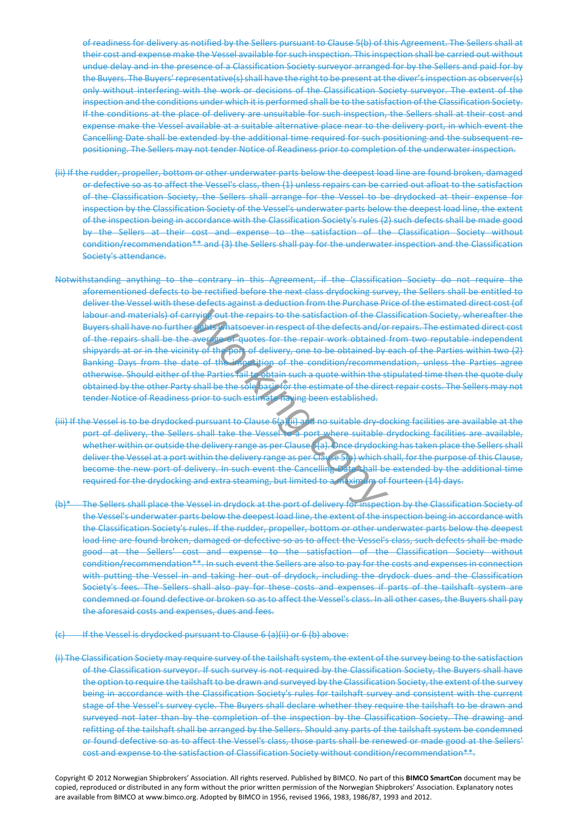of readiness for delivery as notified by the Sellers pursuant to Clause 5(b) of this Agreement. The Sellers shall at their cost and expense make the Vessel available for such inspection. This inspection shall be carried out without undue delay and in the presence of a Classification Society surveyor arranged for by the Sellers and paid for by the Buyers. The Buyers' representative(s) shall have the right to be present at the diver's inspection as observer(s) only without interfering with the work or decisions of the Classification Society surveyor. The extent of the inspection and the conditions under which it is performed shall be to the satisfaction of the Classification Society. If the conditions at the place of delivery are unsuitable for such inspection, the Sellers shall at their cost and expense make the Vessel available at a suitable alternative place near to the delivery port, in which event the Cancelling Date shall be extended by the additional time required for such positioning and the subsequent repositioning. The Sellers may not tender Notice of Readiness prior to completion of the underwater inspection.

- (ii) If the rudder, propeller, bottom or other underwater parts below the deepest load line are found broken, damaged or defective so as to affect the Vessel's class, then (1) unless repairs can be carried out afloat to the satisfaction of the Classification Society, the Sellers shall arrange for the Vessel to be drydocked at their expense for inspection by the Classification Society of the Vessel's underwater parts below the deepest load line, the extent of the inspection being in accordance with the Classification Society's rules (2) such defects shall be made good by the Sellers at their cost and expense to the satisfaction of the Classification Society without condition/recommendation\*\* and (3) the Sellers shall pay for the underwater inspection and the Classification Society's attendance.
- **Example 2018** The repairs to the satisfaction of the Classication of the repair watsoever in respect of the defects and/or<br>average of quotes for the repair work obtained<br>by of the port of delivery, one to be obtained by t Notwithstanding anything to the contrary in this Agreement, if the Classification Society do not require the aforementioned defects to be rectified before the next class drydocking survey, the Sellers shall be entitled to deliver the Vessel with these defects against a deduction from the Purchase Price of the estimated direct cost (of labour and materials) of carrying out the repairs to the satisfaction of the Classification Society, whereafter the Buyers shall have no further rights whatsoever in respect of the defects and/or repairs. The estimated direct cost of the repairs shall be the average of quotes for the repair work obtained from two reputable independent shipyards at or in the vicinity of the port of delivery, one to be obtained by each of the Parties within two (2) Banking Days from the date of the imposition of the condition/recommendation, unless the Parties agree otherwise. Should either of the Parties fail to obtain such a quote within the stipulated time then the quote duly obtained by the other Party shall be the sole basis for the estimate of the direct repair costs. The Sellers may not tender Notice of Readiness prior to such estimate having been established.
- (iii) If the Vessel is to be drydocked pursuant to Clause 6(a)(ii) and no suitable dry-docking facilities are available at the port of delivery, the Sellers shall take the Vessel to a port where suitable drydocking facilities are available, whether within or outside the delivery range as per Clause 5(a). Once drydocking has taken place the Sellers shall deliver the Vessel at a port within the delivery range as per Clause 5(a) which shall, for the purpose of this Clause, become the new port of delivery. In such event the Cancelling Date shall be extended by the additional time required for the drydocking and extra steaming, but limited to a maximum of fourteen (14) days.
- (b)\* The Sellers shall place the Vessel in drydock at the port of delivery for inspection by the Classification Society of the Vessel's underwater parts below the deepest load line, the extent of the inspection being in accordance with the Classification Society's rules. If the rudder, propeller, bottom or other underwater parts below the deepest load line are found broken, damaged or defective so as to affect the Vessel's class, such defects shall be made good at the Sellers' cost and expense to the satisfaction of the Classification Society without condition/recommendation\*\*. In such event the Sellers are also to pay for the costs and expenses in connection with putting the Vessel in and taking her out of drydock, including the drydock dues and the Classification Society's fees. The Sellers shall also pay for these costs and expenses if parts of the tailshaft system are condemned or found defective or broken so as to affect the Vessel's class. In all other cases, the Buyers shall pay the aforesaid costs and expenses, dues and fees.
- If the Vessel is drydocked pursuant to Clause 6 (a)(ii) or 6 (b) above:
- (i) The Classification Society may require survey of the tailshaft system, the extent of the survey being to the satisfaction of the Classification surveyor. If such survey is not required by the Classification Society, the Buyers shall have the option to require the tailshaft to be drawn and surveyed by the Classification Society, the extent of the survey being in accordance with the Classification Society's rules for tailshaft survey and consistent with the current stage of the Vessel's survey cycle. The Buyers shall declare whether they require the tailshaft to be drawn and surveyed not later than by the completion of the inspection by the Classification Society. The drawing and refitting of the tailshaft shall be arranged by the Sellers. Should any parts of the tailshaft system be condemned or found defective so as to affect the Vessel's class, those parts shall be renewed or made good at the Sellers' cost and expense to the satisfaction of Classification Society without condition/recommendation\*\*.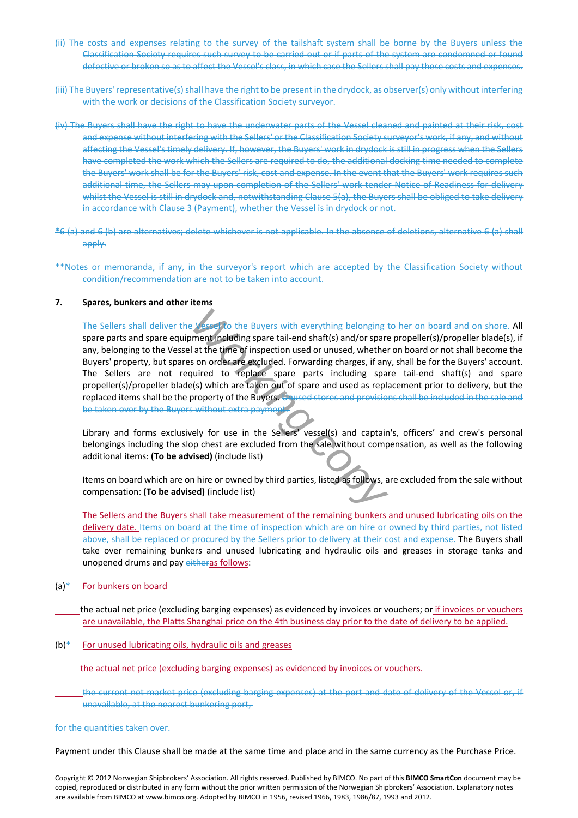- (ii) The costs and expenses relating to the survey of the tailshaft system shall be borne by the Buyers unless the Classification Society requires such survey to be carried out or if parts of the system are condemned or found defective or broken so as to affect the Vessel's class, in which case the Sellers shall pay these costs and expenses.
- (iii) The Buyers' representative(s) shall have the right to be present in the drydock, as observer(s) only without interfering with the work or decisions of the Classification Society surveyor.
- (iv) The Buyers shall have the right to have the underwater parts of the Vessel cleaned and painted at their risk, cost and expense without interfering with the Sellers' or the Classification Society surveyor's work, if any, and without affecting the Vessel's timely delivery. If, however, the Buyers' work in drydock is still in progress when the Sellers have completed the work which the Sellers are required to do, the additional docking time needed to complete the Buyers' work shall be for the Buyers' risk, cost and expense. In the event that the Buyers' work requires such additional time, the Sellers may upon completion of the Sellers' work tender Notice of Readiness for delivery whilst the Vessel is still in drydock and, notwithstanding Clause 5(a), the Buyers shall be obliged to take delivery in accordance with Clause 3 (Payment), whether the Vessel is in drydock or not.
- \*6 (a) and 6 (b) are alternatives; delete whichever is not applicable. In the absence of deletions, alternative 6 (a) shall apply.
- \*\*Notes or memoranda, if any, in the surveyor's report which are accepted by the Classification Society without condition/recommendation are not to be taken into account.

#### **7. Spares, bunkers and other items**

**We set the Buyers with everything belonging the Buyers with everything belonging then the filme of inspection used or unused, whether on order are excluded. Forwarding charges, if any uired to replace spare parts includin** The Sellers shall deliver the Vessel to the Buyers with everything belonging to her on board and on shore. All spare parts and spare equipment including spare tail-end shaft(s) and/or spare propeller(s)/propeller blade(s), if any, belonging to the Vessel at the time of inspection used or unused, whether on board or not shall become the Buyers' property, but spares on order are excluded. Forwarding charges, if any, shall be for the Buyers' account. The Sellers are not required to replace spare parts including spare tail-end shaft(s) and spare propeller(s)/propeller blade(s) which are taken out of spare and used as replacement prior to delivery, but the replaced items shall be the property of the Buyers. Unused stores and provisions shall be included in the sale and be taken over by the Buyers without extra payment.

Library and forms exclusively for use in the Sellers' vessel(s) and captain's, officers' and crew's personal belongings including the slop chest are excluded from the sale without compensation, as well as the following additional items: **(To be advised)** (include list)

Items on board which are on hire or owned by third parties, listed as follows, are excluded from the sale without compensation: **(To be advised)** (include list)

The Sellers and the Buyers shall take measurement of the remaining bunkers and unused lubricating oils on the delivery date. Items on board at the time of inspection which are on hire or owned by third parties, not listed above, shall be replaced or procured by the Sellers prior to delivery at their cost and expense. The Buyers shall take over remaining bunkers and unused lubricating and hydraulic oils and greases in storage tanks and unopened drums and pay eitheras follows:

#### $(a)^*$  For bunkers on board

 the actual net price (excluding barging expenses) as evidenced by invoices or vouchers; or if invoices or vouchers are unavailable, the Platts Shanghai price on the 4th business day prior to the date of delivery to be applied.

 $(b)^*$  For unused lubricating oils, hydraulic oils and greases

the actual net price (excluding barging expenses) as evidenced by invoices or vouchers.

the current net market price (excluding barging expenses) at the port and date of delivery of the Vessel or, if unavailable, at the nearest bunkering port,

#### for the quantities taken over.

Payment under this Clause shall be made at the same time and place and in the same currency as the Purchase Price.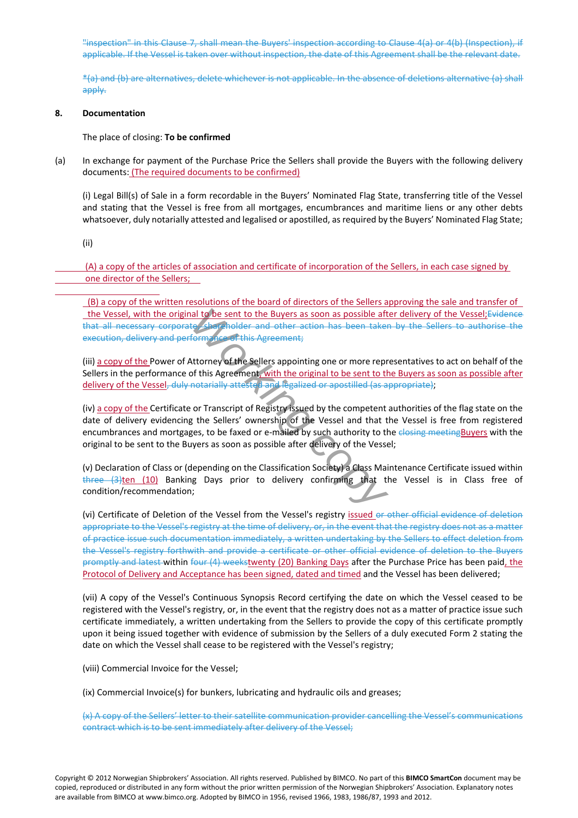"inspection" in this Clause 7, shall mean the Buyers' inspection according to Clause 4(a) or 4(b) (Inspection), if applicable. If the Vessel is taken over without inspection, the date of this Agreement shall be the relevant date.

\*(a) and (b) are alternatives, delete whichever is not applicable. In the absence of deletions alternative (a) shall apply.

## **8. Documentation**

The place of closing: **To be confirmed**

(a) In exchange for payment of the Purchase Price the Sellers shall provide the Buyers with the following delivery documents: (The required documents to be confirmed)

(i) Legal Bill(s) of Sale in a form recordable in the Buyers' Nominated Flag State, transferring title of the Vessel and stating that the Vessel is free from all mortgages, encumbrances and maritime liens or any other debts whatsoever, duly notarially attested and legalised or apostilled, as required by the Buyers' Nominated Flag State;

(ii)

 $\overline{a}$ 

 (A) a copy of the articles of association and certificate of incorporation of the Sellers, in each case signed by one director of the Sellers;

 (B) a copy of the written resolutions of the board of directors of the Sellers approving the sale and transfer of the Vessel, with the original to be sent to the Buyers as soon as possible after delivery of the Vessel; Evidence that all necessary corporate, shareholder and other action has been taken by the Sellers to authorise the execution, delivery and performance of this Agreement;

(iii) a copy of the Power of Attorney of the Sellers appointing one or more representatives to act on behalf of the Sellers in the performance of this Agreement, with the original to be sent to the Buyers as soon as possible after delivery of the Vessel, duly notarially attested and legalized or apostilled (as appropriate);

**Example 2** sent to the Buyers as soon as possible after a factor and other action has been taker<br> *Working ice of this Agreement;*<br>
ttorney of the Sellers appointing one or more repr<br>
f this Agreement, with the original t (iv) a copy of the Certificate or Transcript of Registry issued by the competent authorities of the flag state on the date of delivery evidencing the Sellers' ownership of the Vessel and that the Vessel is free from registered encumbrances and mortgages, to be faxed or e-mailed by such authority to the elosing meetingBuyers with the original to be sent to the Buyers as soon as possible after delivery of the Vessel;

(v) Declaration of Class or (depending on the Classification Society) a Class Maintenance Certificate issued within three (3)ten (10) Banking Days prior to delivery confirming that the Vessel is in Class free of condition/recommendation;

(vi) Certificate of Deletion of the Vessel from the Vessel's registry issued or other official evidence of deletion appropriate to the Vessel's registry at the time of delivery, or, in the event that the registry does not as a matter of practice issue such documentation immediately, a written undertaking by the Sellers to effect deletion from the Vessel's registry forthwith and provide a certificate or other official evidence of deletion to the Buyers promptly and latest within four (4) weekstwenty (20) Banking Days after the Purchase Price has been paid, the Protocol of Delivery and Acceptance has been signed, dated and timed and the Vessel has been delivered;

(vii) A copy of the Vessel's Continuous Synopsis Record certifying the date on which the Vessel ceased to be registered with the Vessel's registry, or, in the event that the registry does not as a matter of practice issue such certificate immediately, a written undertaking from the Sellers to provide the copy of this certificate promptly upon it being issued together with evidence of submission by the Sellers of a duly executed Form 2 stating the date on which the Vessel shall cease to be registered with the Vessel's registry;

(viii) Commercial Invoice for the Vessel;

(ix) Commercial Invoice(s) for bunkers, lubricating and hydraulic oils and greases;

(x) A copy of the Sellers' letter to their satellite communication provider cancelling the Vessel's communications contract which is to be sent immediately after delivery of the Vessel;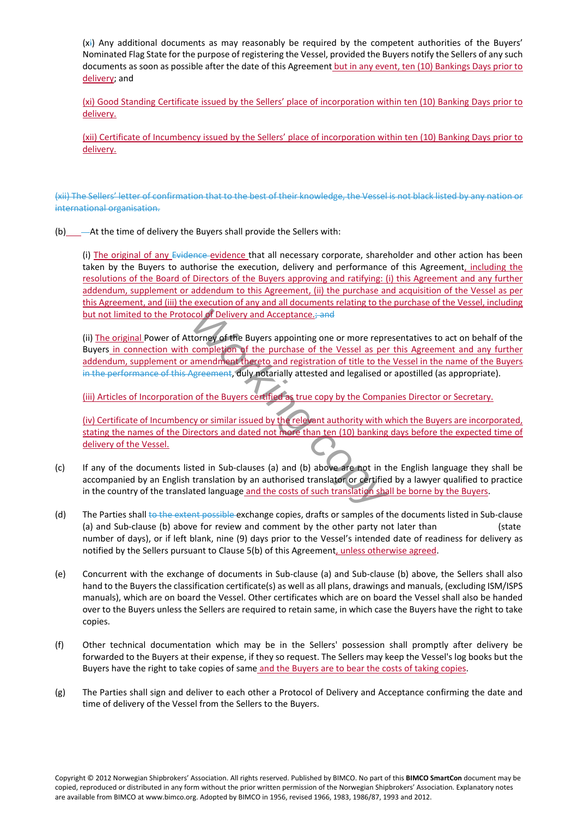(xi) Any additional documents as may reasonably be required by the competent authorities of the Buyers' Nominated Flag State for the purpose of registering the Vessel, provided the Buyers notify the Sellers of any such documents as soon as possible after the date of this Agreement but in any event, ten (10) Bankings Days prior to delivery; and

(xi) Good Standing Certificate issued by the Sellers' place of incorporation within ten (10) Banking Days prior to delivery.

(xii) Certificate of Incumbency issued by the Sellers' place of incorporation within ten (10) Banking Days prior to delivery.

(xii) The Sellers' letter of confirmation that to the best of their knowledge, the Vessel is not black listed by any nation or international organisation.

(b)  $-At$  the time of delivery the Buyers shall provide the Sellers with:

(i) The original of any Evidence evidence that all necessary corporate, shareholder and other action has been taken by the Buyers to authorise the execution, delivery and performance of this Agreement, including the resolutions of the Board of Directors of the Buyers approving and ratifying: (i) this Agreement and any further addendum, supplement or addendum to this Agreement, (ii) the purchase and acquisition of the Vessel as per this Agreement, and (iii) the execution of any and all documents relating to the purchase of the Vessel, including but not limited to the Protocol of Delivery and Acceptance.; and

**Example 1** and Acceptance.<sup>2</sup> and<br> **Example 10** and Acceptance.<sup>2</sup> and<br> **Example 10** and registration of title to the<br> **Example 10** and registration of title to the<br> **Example 10** and registration of title to the<br> **Example** (ii) The original Power of Attorney of the Buyers appointing one or more representatives to act on behalf of the Buyers in connection with completion of the purchase of the Vessel as per this Agreement and any further addendum, supplement or amendment thereto and registration of title to the Vessel in the name of the Buyers in the performance of this Agreement, duly notarially attested and legalised or apostilled (as appropriate).

(iii) Articles of Incorporation of the Buyers certified as true copy by the Companies Director or Secretary.

(iv) Certificate of Incumbency or similar issued by the relevant authority with which the Buyers are incorporated, stating the names of the Directors and dated not more than ten (10) banking days before the expected time of delivery of the Vessel.

- (c) If any of the documents listed in Sub-clauses (a) and (b) above are not in the English language they shall be accompanied by an English translation by an authorised translator or certified by a lawyer qualified to practice in the country of the translated language and the costs of such translation shall be borne by the Buyers.
- (d) The Parties shall to the extent possible exchange copies, drafts or samples of the documents listed in Sub-clause (a) and Sub-clause (b) above for review and comment by the other party not later than (state number of days), or if left blank, nine (9) days prior to the Vessel's intended date of readiness for delivery as notified by the Sellers pursuant to Clause 5(b) of this Agreement, unless otherwise agreed.
- (e) Concurrent with the exchange of documents in Sub-clause (a) and Sub-clause (b) above, the Sellers shall also hand to the Buyers the classification certificate(s) as well as all plans, drawings and manuals, (excluding ISM/ISPS manuals), which are on board the Vessel. Other certificates which are on board the Vessel shall also be handed over to the Buyers unless the Sellers are required to retain same, in which case the Buyers have the right to take copies.
- (f) Other technical documentation which may be in the Sellers' possession shall promptly after delivery be forwarded to the Buyers at their expense, if they so request. The Sellers may keep the Vessel's log books but the Buyers have the right to take copies of same and the Buyers are to bear the costs of taking copies.
- (g) The Parties shall sign and deliver to each other a Protocol of Delivery and Acceptance confirming the date and time of delivery of the Vessel from the Sellers to the Buyers.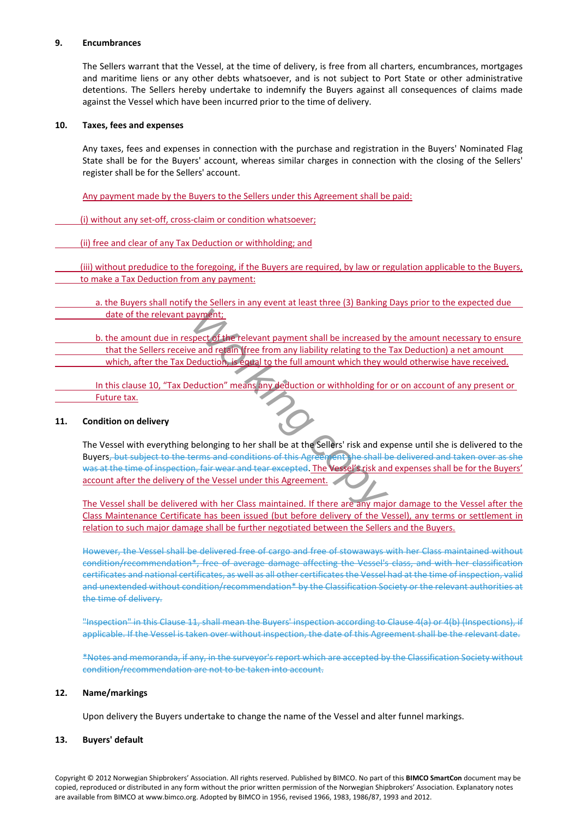### **9. Encumbrances**

The Sellers warrant that the Vessel, at the time of delivery, is free from all charters, encumbrances, mortgages and maritime liens or any other debts whatsoever, and is not subject to Port State or other administrative detentions. The Sellers hereby undertake to indemnify the Buyers against all consequences of claims made against the Vessel which have been incurred prior to the time of delivery.

## **10. Taxes, fees and expenses**

Any taxes, fees and expenses in connection with the purchase and registration in the Buyers' Nominated Flag State shall be for the Buyers' account, whereas similar charges in connection with the closing of the Sellers' register shall be for the Sellers' account.

Any payment made by the Buyers to the Sellers under this Agreement shall be paid:

- (i) without any set-off, cross-claim or condition whatsoever;
- (ii) free and clear of any Tax Deduction or withholding; and

 (iii) without predudice to the foregoing, if the Buyers are required, by law or regulation applicable to the Buyers, to make a Tax Deduction from any payment:

- a. the Buyers shall notify the Sellers in any event at least three (3) Banking Days prior to the expected due date of the relevant payment;
- b. the amount due in respect of the relevant payment shall be increased by the amount necessary to ensure that the Sellers receive and retain (free from any liability relating to the Tax Deduction) a net amount which, after the Tax Deduction, is equal to the full amount which they would otherwise have received.
- In this clause 10, "Tax Deduction" means any deduction or withholding for or on account of any present or Future tax.

## **11. Condition on delivery**

**Example 12**<br> **Example 2** and retain (free from any liability relating to the eduction, is equal to the full amount which they we<br>
duction is equal to the full amount which they we<br>
duction is equal to the full amount whic The Vessel with everything belonging to her shall be at the Sellers' risk and expense until she is delivered to the Buyers, but subject to the terms and conditions of this Agreement she shall be delivered and taken over as she was at the time of inspection, fair wear and tear excepted. The Vessel's risk and expenses shall be for the Buvers' account after the delivery of the Vessel under this Agreement.

The Vessel shall be delivered with her Class maintained. If there are any major damage to the Vessel after the Class Maintenance Certificate has been issued (but before delivery of the Vessel), any terms or settlement in relation to such major damage shall be further negotiated between the Sellers and the Buyers.

However, the Vessel shall be delivered free of cargo and free of stowaways with her Class maintained without condition/recommendation\*, free of average damage affecting the Vessel's class, and with her classification certificates and national certificates, as well as all other certificates the Vessel had at the time of inspection, valid and unextended without condition/recommendation\* by the Classification Society or the relevant authorities at the time of delivery.

"Inspection" in this Clause 11, shall mean the Buyers' inspection according to Clause 4(a) or 4(b) (Inspections), if applicable. If the Vessel is taken over without inspection, the date of this Agreement shall be the relevant date.

\*Notes and memoranda, if any, in the surveyor's report which are accepted by the Classification Society without condition/recommendation are not to be taken into account.

#### **12. Name/markings**

Upon delivery the Buyers undertake to change the name of the Vessel and alter funnel markings.

### **13. Buyers' default**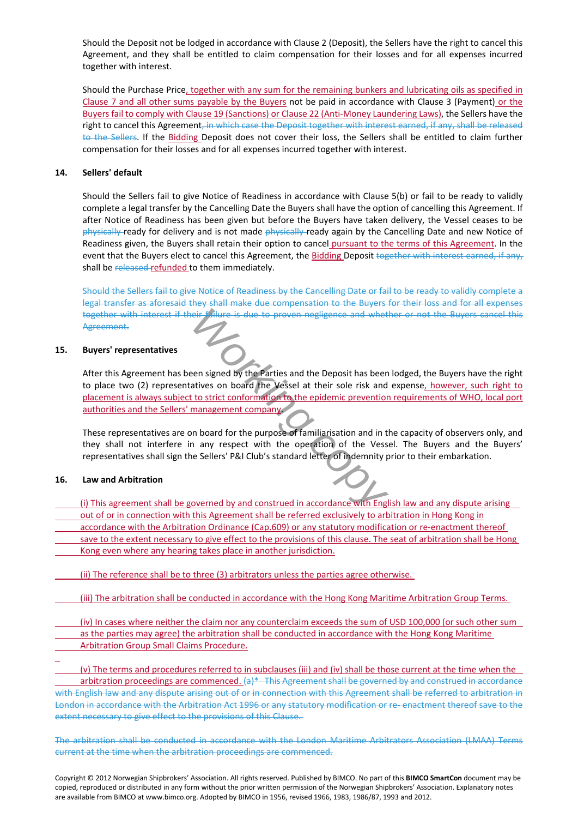Should the Deposit not be lodged in accordance with Clause 2 (Deposit), the Sellers have the right to cancel this Agreement, and they shall be entitled to claim compensation for their losses and for all expenses incurred together with interest.

Should the Purchase Price, together with any sum for the remaining bunkers and lubricating oils as specified in Clause 7 and all other sums payable by the Buyers not be paid in accordance with Clause 3 (Payment) or the Buyers fail to comply with Clause 19 (Sanctions) or Clause 22 (Anti-Money Laundering Laws), the Sellers have the right to cancel this Agreement, in which case the Deposit together with interest earned, if any, shall be released to the Sellers. If the Bidding Deposit does not cover their loss, the Sellers shall be entitled to claim further compensation for their losses and for all expenses incurred together with interest.

## **14. Sellers' default**

Should the Sellers fail to give Notice of Readiness in accordance with Clause 5(b) or fail to be ready to validly complete a legal transfer by the Cancelling Date the Buyers shall have the option of cancelling this Agreement. If after Notice of Readiness has been given but before the Buyers have taken delivery, the Vessel ceases to be physically ready for delivery and is not made physically ready again by the Cancelling Date and new Notice of Readiness given, the Buyers shall retain their option to cancel pursuant to the terms of this Agreement. In the event that the Buyers elect to cancel this Agreement, the Bidding Deposit together with interest earned, if any, shall be released-refunded to them immediately.

Should the Sellers fail to give Notice of Readiness by the Cancelling Date or fail to be ready to validly complete a legal transfer as aforesaid they shall make due compensation to the Buyers for their loss and for all expenses together with interest if their failure is due to proven negligence and whether or not the Buyers cancel this Agreement.

## **15. Buyers' representatives**

**Example 18 and 18 and 18 and 18 and 18 and 18 and 18 and 18 and 18 and 18 and 18 and 18 and 18 and 18 and 18 and 18 and 18 and 18 and 18 and 18 and 18 and 18 and 18 and 18 and 18 and 18 and 18 and 18 and 18 and 18 and 18** After this Agreement has been signed by the Parties and the Deposit has been lodged, the Buyers have the right to place two (2) representatives on board the Vessel at their sole risk and expense, however, such right to placement is always subject to strict conformation to the epidemic prevention requirements of WHO, local port authorities and the Sellers' management company.

These representatives are on board for the purpose of familiarisation and in the capacity of observers only, and they shall not interfere in any respect with the operation of the Vessel. The Buyers and the Buyers' representatives shall sign the Sellers' P&I Club's standard letter of indemnity prior to their embarkation.

## **16. Law and Arbitration**

 (i) This agreement shall be governed by and construed in accordance with English law and any dispute arising out of or in connection with this Agreement shall be referred exclusively to arbitration in Hong Kong in accordance with the Arbitration Ordinance (Cap.609) or any statutory modification or re-enactment thereof save to the extent necessary to give effect to the provisions of this clause. The seat of arbitration shall be Hong Kong even where any hearing takes place in another jurisdiction.

(ii) The reference shall be to three (3) arbitrators unless the parties agree otherwise.

(iii) The arbitration shall be conducted in accordance with the Hong Kong Maritime Arbitration Group Terms.

 (iv) In cases where neither the claim nor any counterclaim exceeds the sum of USD 100,000 (or such other sum as the parties may agree) the arbitration shall be conducted in accordance with the Hong Kong Maritime Arbitration Group Small Claims Procedure.

 (v) The terms and procedures referred to in subclauses (iii) and (iv) shall be those current at the time when the arbitration proceedings are commenced.  $(a)^*$  This Agreement shall be governed by and construed in accordance with English law and any dispute arising out of or in connection with this Agreement shall be referred to arbitration in London in accordance with the Arbitration Act 1996 or any statutory modification or re- enactment thereof save to the extent necessary to give effect to the provisions of this Clause.

The arbitration shall be conducted in accordance with the London Maritime Arbitrators Association (LMAA) Terms current at the time when the arbitration proceedings are commenced.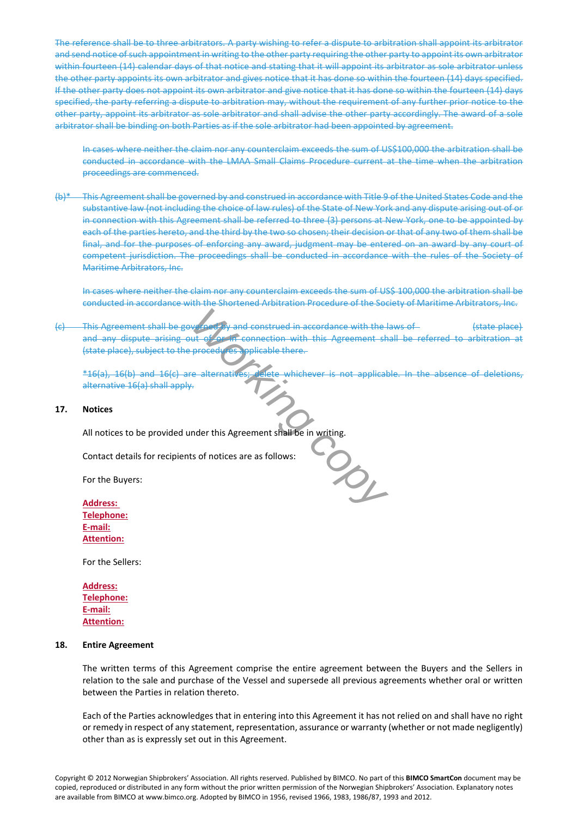The reference shall be to three arbitrators. A party wishing to refer a dispute to arbitration shall appoint its arbitrator and send notice of such appointment in writing to the other party requiring the other party to appoint its own arbitrator within fourteen (14) calendar days of that notice and stating that it will appoint its arbitrator as sole arbitrator unless the other party appoints its own arbitrator and gives notice that it has done so within the fourteen (14) days specified. If the other party does not appoint its own arbitrator and give notice that it has done so within the fourteen (14) days specified, the party referring a dispute to arbitration may, without the requirement of any further prior notice to the other party, appoint its arbitrator as sole arbitrator and shall advise the other party accordingly. The award of a sole arbitrator shall be binding on both Parties as if the sole arbitrator had been appointed by agreement.

In cases where neither the claim nor any counterclaim exceeds the sum of US\$100,000 the arbitration shall be conducted in accordance with the LMAA Small Claims Procedure current at the time when the arbitration proceedings are commenced.

(b)\* This Agreement shall be governed by and construed in accordance with Title 9 of the United States Code and the substantive law (not including the choice of law rules) of the State of New York and any dispute arising out of or in connection with this Agreement shall be referred to three (3) persons at New York, one to be appointed by each of the parties hereto, and the third by the two so chosen; their decision or that of any two of them shall be final, and for the purposes of enforcing any award, judgment may be entered on an award by any court of competent jurisdiction. The proceedings shall be conducted in accordance with the rules of the Society of Maritime Arbitrators, Inc.

In cases where neither the claim nor any counterclaim exceeds the sum of US\$ 100,000 the arbitration shall be conducted in accordance with the Shortened Arbitration Procedure of the Society of Maritime Arbitrators, Inc.

This Agreement shall be governed by and construed in accordance with the laws of (state place) and any dispute arising out of or in connection with this Agreement shall be referred to arbitration at (state place), subject to the procedures applicable there.

*Warehouse 16(a) shall apply.*<br> **Notices**<br>
All notices to be provided under this Agreement shall be in writing.<br>
Contact details for recipients of notices are as follows: fote whichever is not applicable. In the absence of deletions, alternative 16(a) shall apply.

### **17. Notices**

All notices to be provided under this Agreement shall be in writing.

Contact details for recipients of notices are as follows:

For the Buyers:

**Address: Telephone: E-mail: Attention:**

For the Sellers:

**Address: Telephone: E-mail: Attention:**

#### **18. Entire Agreement**

The written terms of this Agreement comprise the entire agreement between the Buyers and the Sellers in relation to the sale and purchase of the Vessel and supersede all previous agreements whether oral or written between the Parties in relation thereto.

Each of the Parties acknowledges that in entering into this Agreement it has not relied on and shall have no right or remedy in respect of any statement, representation, assurance or warranty (whether or not made negligently) other than as is expressly set out in this Agreement.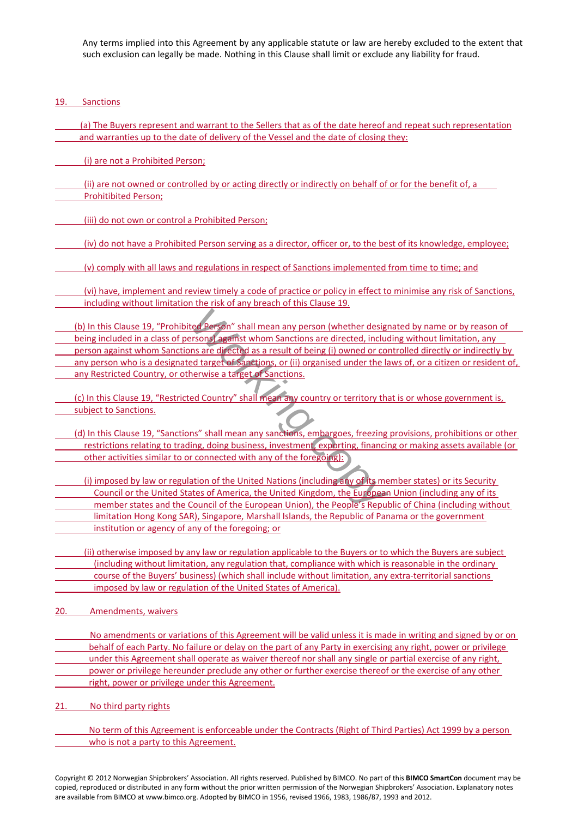Any terms implied into this Agreement by any applicable statute or law are hereby excluded to the extent that such exclusion can legally be made. Nothing in this Clause shall limit or exclude any liability for fraud.

## 19. Sanctions

 (a) The Buyers represent and warrant to the Sellers that as of the date hereof and repeat such representation and warranties up to the date of delivery of the Vessel and the date of closing they:

(i) are not a Prohibited Person;

 (ii) are not owned or controlled by or acting directly or indirectly on behalf of or for the benefit of, a Prohitibited Person;

(iii) do not own or control a Prohibited Person;

(iv) do not have a Prohibited Person serving as a director, officer or, to the best of its knowledge, employee;

(v) comply with all laws and regulations in respect of Sanctions implemented from time to time; and

 (vi) have, implement and review timely a code of practice or policy in effect to minimise any risk of Sanctions, including without limitation the risk of any breach of this Clause 19.

**Example 18 All Standard Person**<br> **Example 20 All Standard Person (Whether designts some)**<br> **Example 20 All Standard Converts a secult of being (i) owned or conditions are directed as a result of being (i) owned or conditi**  (b) In this Clause 19, "Prohibited Person" shall mean any person (whether designated by name or by reason of being included in a class of persons) against whom Sanctions are directed, including without limitation, any person against whom Sanctions are directed as a result of being (i) owned or controlled directly or indirectly by any person who is a designated target of Sanctions, or (ii) organised under the laws of, or a citizen or resident of, any Restricted Country, or otherwise a target of Sanctions.

 (c) In this Clause 19, "Restricted Country" shall mean any country or territory that is or whose government is, subject to Sanctions.

 (d) In this Clause 19, "Sanctions" shall mean any sanctions, embargoes, freezing provisions, prohibitions or other restrictions relating to trading, doing business, investment, exporting, financing or making assets available (or other activities similar to or connected with any of the foregoing):

 (i) imposed by law or regulation of the United Nations (including any of its member states) or its Security Council or the United States of America, the United Kingdom, the European Union (including any of its member states and the Council of the European Union), the People's Republic of China (including without limitation Hong Kong SAR), Singapore, Marshall Islands, the Republic of Panama or the government institution or agency of any of the foregoing; or

 (ii) otherwise imposed by any law or regulation applicable to the Buyers or to which the Buyers are subject (including without limitation, any regulation that, compliance with which is reasonable in the ordinary course of the Buyers' business) (which shall include without limitation, any extra-territorial sanctions imposed by law or regulation of the United States of America).

20. Amendments, waivers

No amendments or variations of this Agreement will be valid unless it is made in writing and signed by or on behalf of each Party. No failure or delay on the part of any Party in exercising any right, power or privilege under this Agreement shall operate as waiver thereof nor shall any single or partial exercise of any right, power or privilege hereunder preclude any other or further exercise thereof or the exercise of any other right, power or privilege under this Agreement.

21. No third party rights

 No term of this Agreement is enforceable under the Contracts (Right of Third Parties) Act 1999 by a person who is not a party to this Agreement.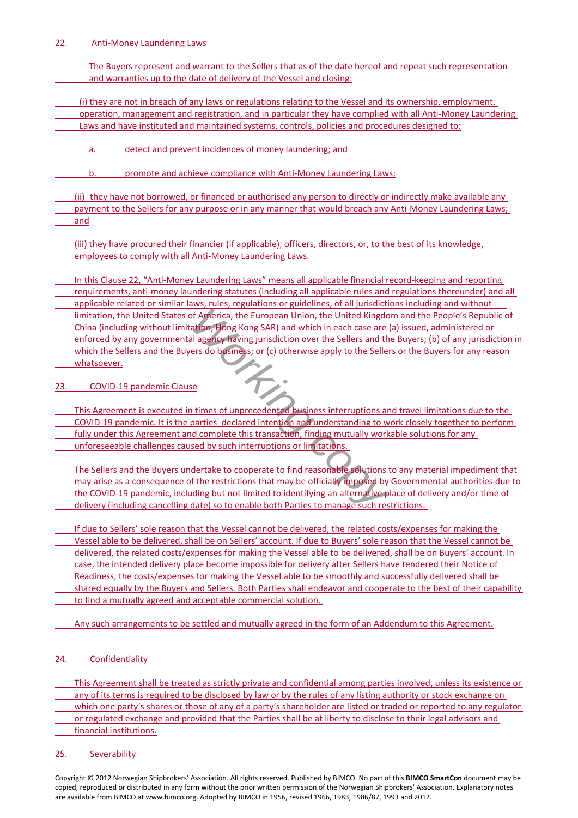The Buyers represent and warrant to the Sellers that as of the date hereof and repeat such representation and warranties up to the date of delivery of the Vessel and closing:

 (i) they are not in breach of any laws or regulations relating to the Vessel and its ownership, employment, operation, management and registration, and in particular they have complied with all Anti-Money Laundering Laws and have instituted and maintained systems, controls, policies and procedures designed to:

- a. detect and prevent incidences of money laundering; and
- b. promote and achieve compliance with Anti-Money Laundering Laws;

 (ii) they have not borrowed, or financed or authorised any person to directly or indirectly make available any payment to the Sellers for any purpose or in any manner that would breach any Anti-Money Laundering Laws; and

 (iii) they have procured their financier (if applicable), officers, directors, or, to the best of its knowledge, employees to comply with all Anti-Money Laundering Laws.

**Example 15 America, the European Union, the United Kingdon tion, Hong Kong SAR) and which in each case are a lagency having jurisdiction over the Sellers and the term of the sellers and the sellers is the seller of the se**  In this Clause 22, "Anti-Money Laundering Laws" means all applicable financial record-keeping and reporting requirements, anti-money laundering statutes (including all applicable rules and regulations thereunder) and all applicable related or similar laws, rules, regulations or guidelines, of all jurisdictions including and without limitation, the United States of America, the European Union, the United Kingdom and the People's Republic of China (including without limitation, Hong Kong SAR) and which in each case are (a) issued, administered or enforced by any governmental agency having jurisdiction over the Sellers and the Buyers; (b) of any jurisdiction in which the Sellers and the Buyers do business; or (c) otherwise apply to the Sellers or the Buyers for any reason whatsoever.

# 23. COVID-19 pandemic Clause

 This Agreement is executed in times of unprecedented business interruptions and travel limitations due to the COVID-19 pandemic. It is the parties' declared intention and understanding to work closely together to perform fully under this Agreement and complete this transaction, finding mutually workable solutions for any unforeseeable challenges caused by such interruptions or limitations.

 The Sellers and the Buyers undertake to cooperate to find reasonable solutions to any material impediment that may arise as a consequence of the restrictions that may be officially imposed by Governmental authorities due to the COVID-19 pandemic, including but not limited to identifying an alternative place of delivery and/or time of delivery (including cancelling date) so to enable both Parties to manage such restrictions.

 If due to Sellers' sole reason that the Vessel cannot be delivered, the related costs/expenses for making the Vessel able to be delivered, shall be on Sellers' account. If due to Buyers' sole reason that the Vessel cannot be delivered, the related costs/expenses for making the Vessel able to be delivered, shall be on Buyers' account. In case, the intended delivery place become impossible for delivery after Sellers have tendered their Notice of Readiness, the costs/expenses for making the Vessel able to be smoothly and successfully delivered shall be shared equally by the Buyers and Sellers. Both Parties shall endeavor and cooperate to the best of their capability to find a mutually agreed and acceptable commercial solution.

Any such arrangements to be settled and mutually agreed in the form of an Addendum to this Agreement.

24. Confidentiality

 This Agreement shall be treated as strictly private and confidential among parties involved, unless its existence or any of its terms is required to be disclosed by law or by the rules of any listing authority or stock exchange on which one party's shares or those of any of a party's shareholder are listed or traded or reported to any regulator or regulated exchange and provided that the Parties shall be at liberty to disclose to their legal advisors and financial institutions.

# 25. Severability